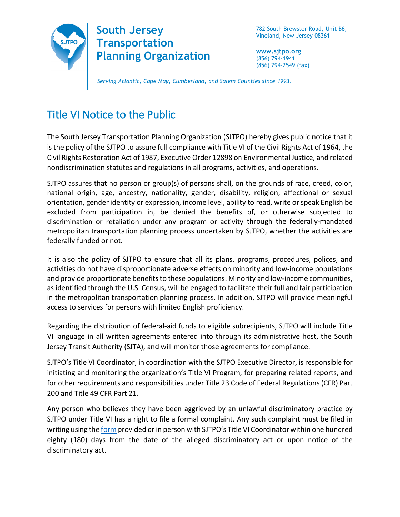

782 South Brewster Road, Unit B6, Vineland, New Jersey 08361

**www.sjtpo.org** (856) 794-1941 (856) 794-2549 (fax)

*Serving Atlantic, Cape May, Cumberland, and Salem Counties since 1993.*

## Title VI Notice to the Public

The South Jersey Transportation Planning Organization (SJTPO) hereby gives public notice that it is the policy of the SJTPO to assure full compliance with Title VI of the Civil Rights Act of 1964, the Civil Rights Restoration Act of 1987, Executive Order 12898 on Environmental Justice, and related nondiscrimination statutes and regulations in all programs, activities, and operations.

SJTPO assures that no person or group(s) of persons shall, on the grounds of race, creed, color, national origin, age, ancestry, nationality, gender, disability, religion, affectional or sexual orientation, gender identity or expression, income level, ability to read, write or speak English be excluded from participation in, be denied the benefits of, or otherwise subjected to discrimination or retaliation under any program or activity through the federally-mandated metropolitan transportation planning process undertaken by SJTPO, whether the activities are federally funded or not.

It is also the policy of SJTPO to ensure that all its plans, programs, procedures, polices, and activities do not have disproportionate adverse effects on minority and low-income populations and provide proportionate benefits to these populations. Minority and low-income communities, as identified through the U.S. Census, will be engaged to facilitate their full and fair participation in the metropolitan transportation planning process. In addition, SJTPO will provide meaningful access to services for persons with limited English proficiency.

Regarding the distribution of federal-aid funds to eligible subrecipients, SJTPO will include Title VI language in all written agreements entered into through its administrative host, the South Jersey Transit Authority (SJTA), and will monitor those agreements for compliance.

SJTPO's Title VI Coordinator, in coordination with the SJTPO Executive Director, is responsible for initiating and monitoring the organization's Title VI Program, for preparing related reports, and for other requirements and responsibilities under Title 23 Code of Federal Regulations (CFR) Part 200 and Title 49 CFR Part 21.

Any person who believes they have been aggrieved by an unlawful discriminatory practice by SJTPO under Title VI has a right to file a formal complaint. Any such complaint must be filed in writing using th[e form](https://www.sjtpo.org/wp-content/uploads/2019/03/SJTPO_Title_VI_Complaint_Form_Mar2019.pdf) provided or in person with SJTPO's Title VI Coordinator within one hundred eighty (180) days from the date of the alleged discriminatory act or upon notice of the discriminatory act.